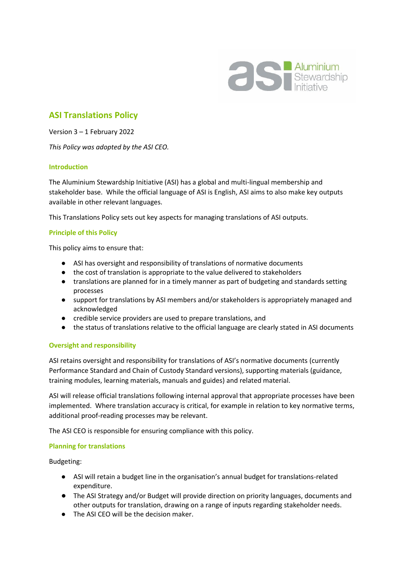

# **ASI Translations Policy**

Version 3 – 1 February 2022

*This Policy was adopted by the ASI CEO.*

## **Introduction**

The Aluminium Stewardship Initiative (ASI) has a global and multi-lingual membership and stakeholder base. While the official language of ASI is English, ASI aims to also make key outputs available in other relevant languages.

This Translations Policy sets out key aspects for managing translations of ASI outputs.

## **Principle of this Policy**

This policy aims to ensure that:

- ASI has oversight and responsibility of translations of normative documents
- the cost of translation is appropriate to the value delivered to stakeholders
- translations are planned for in a timely manner as part of budgeting and standards setting processes
- support for translations by ASI members and/or stakeholders is appropriately managed and acknowledged
- credible service providers are used to prepare translations, and
- the status of translations relative to the official language are clearly stated in ASI documents

### **Oversight and responsibility**

ASI retains oversight and responsibility for translations of ASI's normative documents (currently Performance Standard and Chain of Custody Standard versions), supporting materials (guidance, training modules, learning materials, manuals and guides) and related material.

ASI will release official translations following internal approval that appropriate processes have been implemented. Where translation accuracy is critical, for example in relation to key normative terms, additional proof-reading processes may be relevant.

The ASI CEO is responsible for ensuring compliance with this policy.

### **Planning for translations**

Budgeting:

- ASI will retain a budget line in the organisation's annual budget for translations-related expenditure.
- The ASI Strategy and/or Budget will provide direction on priority languages, documents and other outputs for translation, drawing on a range of inputs regarding stakeholder needs.
- The ASI CEO will be the decision maker.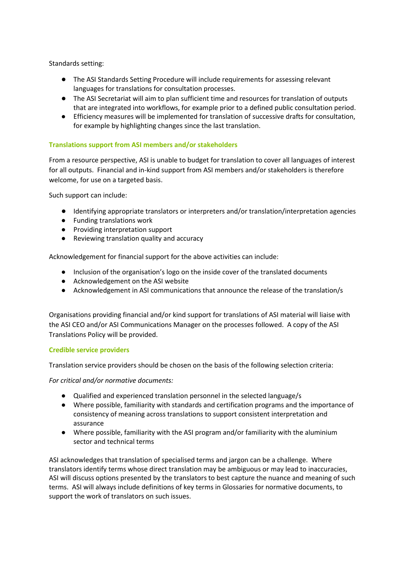Standards setting:

- The ASI Standards Setting Procedure will include requirements for assessing relevant languages for translations for consultation processes.
- The ASI Secretariat will aim to plan sufficient time and resources for translation of outputs that are integrated into workflows, for example prior to a defined public consultation period.
- Efficiency measures will be implemented for translation of successive drafts for consultation, for example by highlighting changes since the last translation.

## **Translations support from ASI members and/or stakeholders**

From a resource perspective, ASI is unable to budget for translation to cover all languages of interest for all outputs. Financial and in-kind support from ASI members and/or stakeholders is therefore welcome, for use on a targeted basis.

Such support can include:

- Identifying appropriate translators or interpreters and/or translation/interpretation agencies
- Funding translations work
- Providing interpretation support
- Reviewing translation quality and accuracy

Acknowledgement for financial support for the above activities can include:

- Inclusion of the organisation's logo on the inside cover of the translated documents
- Acknowledgement on the ASI website
- Acknowledgement in ASI communications that announce the release of the translation/s

Organisations providing financial and/or kind support for translations of ASI material will liaise with the ASI CEO and/or ASI Communications Manager on the processes followed. A copy of the ASI Translations Policy will be provided.

### **Credible service providers**

Translation service providers should be chosen on the basis of the following selection criteria:

*For critical and/or normative documents:*

- Qualified and experienced translation personnel in the selected language/s
- Where possible, familiarity with standards and certification programs and the importance of consistency of meaning across translations to support consistent interpretation and assurance
- Where possible, familiarity with the ASI program and/or familiarity with the aluminium sector and technical terms

ASI acknowledges that translation of specialised terms and jargon can be a challenge. Where translators identify terms whose direct translation may be ambiguous or may lead to inaccuracies, ASI will discuss options presented by the translators to best capture the nuance and meaning of such terms. ASI will always include definitions of key terms in Glossaries for normative documents, to support the work of translators on such issues.